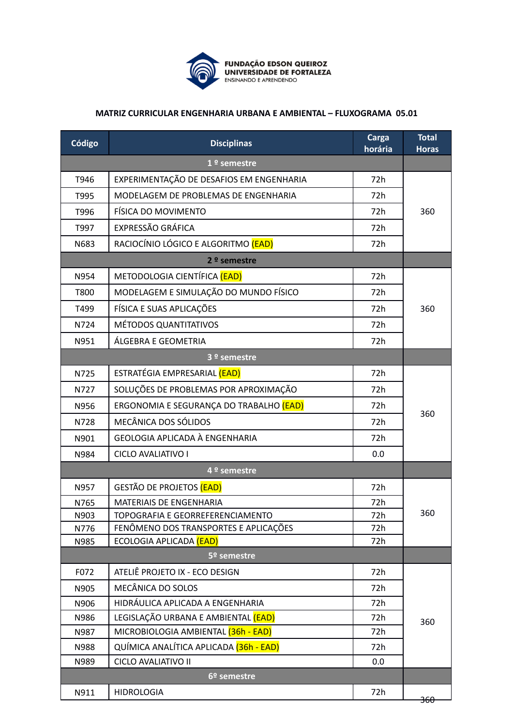

## **MATRIZ CURRICULAR ENGENHARIA URBANA E AMBIENTAL – FLUXOGRAMA 05.01**

| Código        | <b>Disciplinas</b>                       | Carga<br>horária | <b>Total</b><br><b>Horas</b> |
|---------------|------------------------------------------|------------------|------------------------------|
| $1°$ semestre |                                          |                  |                              |
| T946          | EXPERIMENTAÇÃO DE DESAFIOS EM ENGENHARIA | 72h              | 360                          |
| T995          | MODELAGEM DE PROBLEMAS DE ENGENHARIA     | 72h              |                              |
| T996          | FÍSICA DO MOVIMENTO                      | 72h              |                              |
| T997          | EXPRESSÃO GRÁFICA                        | 72h              |                              |
| N683          | RACIOCÍNIO LÓGICO E ALGORITMO (EAD)      | 72h              |                              |
|               | $2°$ semestre                            |                  |                              |
| N954          | METODOLOGIA CIENTÍFICA (EAD)             | 72h              | 360                          |
| T800          | MODELAGEM E SIMULAÇÃO DO MUNDO FÍSICO    | 72h              |                              |
| T499          | FÍSICA E SUAS APLICAÇÕES                 | 72h              |                              |
| N724          | MÉTODOS QUANTITATIVOS                    | 72h              |                              |
| N951          | ÁLGEBRA E GEOMETRIA                      | 72h              |                              |
|               | 3 <sup>o</sup> semestre                  |                  |                              |
| N725          | ESTRATÉGIA EMPRESARIAL (EAD)             | 72h              | 360                          |
| N727          | SOLUÇÕES DE PROBLEMAS POR APROXIMAÇÃO    | 72h              |                              |
| N956          | ERGONOMIA E SEGURANÇA DO TRABALHO (EAD)  | 72h              |                              |
| N728          | MECÂNICA DOS SÓLIDOS                     | 72h              |                              |
| N901          | GEOLOGIA APLICADA À ENGENHARIA           | 72h              |                              |
| N984          | <b>CICLO AVALIATIVO I</b>                | 0.0              |                              |
|               | 4 <sup>º</sup> semestre                  |                  |                              |
|               | GESTÃO DE PROJETOS (EAD)                 | 72h              |                              |
| N957          | MATERIAIS DE ENGENHARIA                  | 72h              | 360                          |
| N765<br>N903  | TOPOGRAFIA E GEORREFERENCIAMENTO         | 72h              |                              |
| N776          | FENÔMENO DOS TRANSPORTES E APLICAÇÕES    | 72h              |                              |
| N985          | ECOLOGIA APLICADA (EAD)                  | 72h              |                              |
|               | 5º semestre                              |                  |                              |
| F072          | ATELIÊ PROJETO IX - ECO DESIGN           | 72h              |                              |
| N905          | MECÂNICA DO SOLOS                        | 72h              |                              |
| N906          | HIDRÁULICA APLICADA A ENGENHARIA         | 72h              |                              |
| N986          | LEGISLAÇÃO URBANA E AMBIENTAL (EAD)      | 72h              | 360                          |
| N987          | MICROBIOLOGIA AMBIENTAL (36h - EAD)      | 72h              |                              |
| N988          | QUÍMICA ANALÍTICA APLICADA (36h - EAD)   | 72h              |                              |
| N989          | CICLO AVALIATIVO II                      | 0.0              |                              |
|               | 6º semestre                              |                  |                              |
| N911          | <b>HIDROLOGIA</b>                        | 72h              | <del>360</del>               |